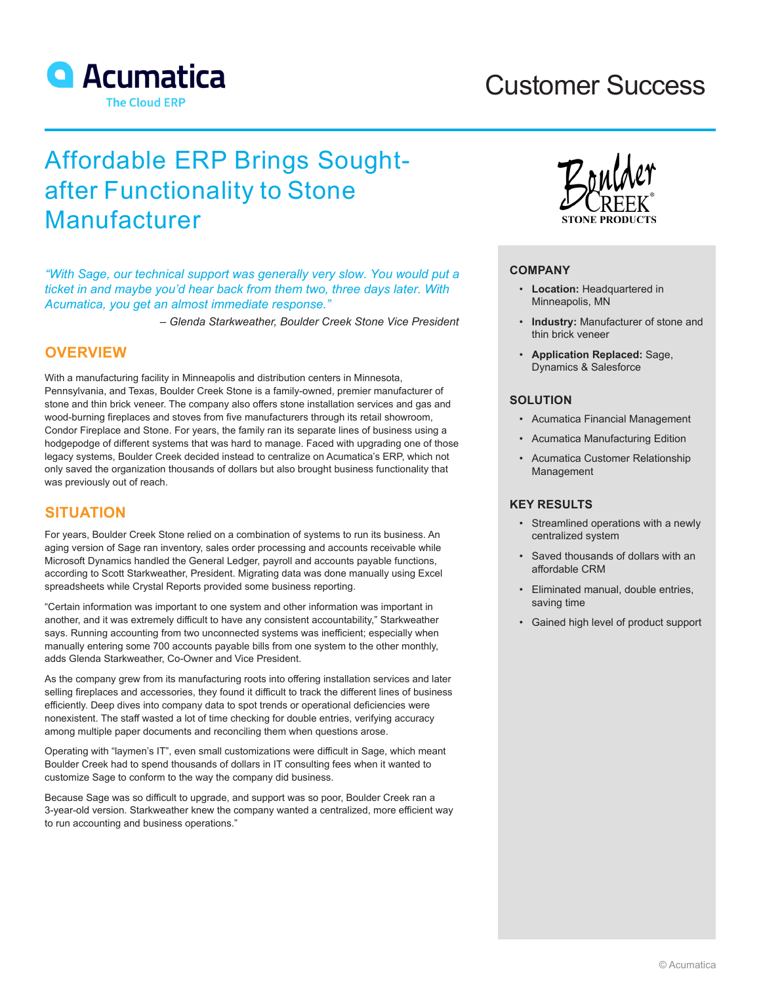

# Customer Success

# Affordable ERP Brings Soughtafter Functionality to Stone Manufacturer

*"With Sage, our technical support was generally very slow. You would put a ticket in and maybe you'd hear back from them two, three days later. With Acumatica, you get an almost immediate response."*

*– Glenda Starkweather, Boulder Creek Stone Vice President*

## **OVERVIEW**

With a manufacturing facility in Minneapolis and distribution centers in Minnesota, Pennsylvania, and Texas, Boulder Creek Stone is a family-owned, premier manufacturer of stone and thin brick veneer. The company also offers stone installation services and gas and wood-burning fireplaces and stoves from five manufacturers through its retail showroom, Condor Fireplace and Stone. For years, the family ran its separate lines of business using a hodgepodge of different systems that was hard to manage. Faced with upgrading one of those legacy systems, Boulder Creek decided instead to centralize on Acumatica's ERP, which not only saved the organization thousands of dollars but also brought business functionality that was previously out of reach.

## **SITUATION**

For years, Boulder Creek Stone relied on a combination of systems to run its business. An aging version of Sage ran inventory, sales order processing and accounts receivable while Microsoft Dynamics handled the General Ledger, payroll and accounts payable functions, according to Scott Starkweather, President. Migrating data was done manually using Excel spreadsheets while Crystal Reports provided some business reporting.

"Certain information was important to one system and other information was important in another, and it was extremely difficult to have any consistent accountability," Starkweather says. Running accounting from two unconnected systems was inefficient; especially when manually entering some 700 accounts payable bills from one system to the other monthly, adds Glenda Starkweather, Co-Owner and Vice President.

As the company grew from its manufacturing roots into offering installation services and later selling fireplaces and accessories, they found it difficult to track the different lines of business efficiently. Deep dives into company data to spot trends or operational deficiencies were nonexistent. The staff wasted a lot of time checking for double entries, verifying accuracy among multiple paper documents and reconciling them when questions arose.

Operating with "laymen's IT", even small customizations were difficult in Sage, which meant Boulder Creek had to spend thousands of dollars in IT consulting fees when it wanted to customize Sage to conform to the way the company did business.

Because Sage was so difficult to upgrade, and support was so poor, Boulder Creek ran a 3-year-old version. Starkweather knew the company wanted a centralized, more efficient way to run accounting and business operations."



#### **COMPANY**

- **Location:** Headquartered in Minneapolis, MN
- **Industry:** Manufacturer of stone and thin brick veneer
- **Application Replaced:** Sage, Dynamics & Salesforce

## **SOLUTION**

- Acumatica Financial Management
- Acumatica Manufacturing Edition
- Acumatica Customer Relationship Management

## **KEY RESULTS**

- Streamlined operations with a newly centralized system
- Saved thousands of dollars with an affordable CRM
- Eliminated manual, double entries, saving time
- Gained high level of product support